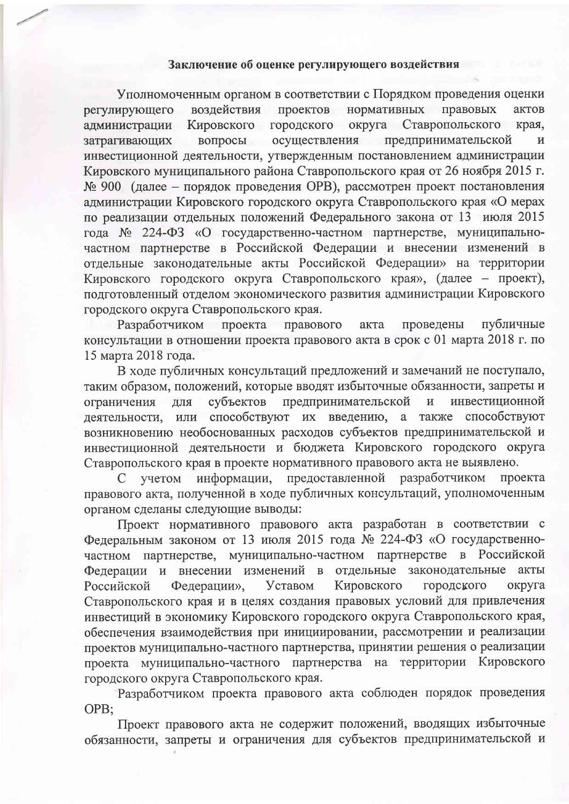## Заключение об оценке регулирующего воздействия

Уполномоченным органом в соответствии с Порядком проведения оценки регулирующего воздействия проектов нормативных правовых актов городского администрации Кировского округа Ставропольского края, предпринимательской затрагивающих вопросы осуществления И инвестиционной деятельности, утвержденным постановлением администрации Кировского муниципального района Ставропольского края от 26 ноября 2015 г. № 900 (далее - порядок проведения ОРВ), рассмотрен проект постановления администрации Кировского городского округа Ставропольского края «О мерах по реализации отдельных положений Федерального закона от 13 июля 2015 года № 224-ФЗ «О государственно-частном партнерстве, муниципальночастном партнерстве в Российской Федерации и внесении изменений в отдельные законодательные акты Российской Федерации» на территории Кировского городского округа Ставропольского края», (далее - проект), подготовленный отделом экономического развития администрации Кировского городского округа Ставропольского края.

Разработчиком проекта правового проведены публичные акта консультации в отношении проекта правового акта в срок с 01 марта 2018 г. по 15 марта 2018 года.

В ходе публичных консультаций предложений и замечаний не поступало, таким образом, положений, которые вводят избыточные обязанности, запреты и предпринимательской инвестиционной ограничения для субъектов  $\mathbf{H}$ деятельности, или способствуют их введению, а также способствуют возникновению необоснованных расходов субъектов предпринимательской и инвестиционной деятельности и бюджета Кировского городского округа Ставропольского края в проекте нормативного правового акта не выявлено.

предоставленной информации, разработчиком проекта учетом C правового акта, полученной в ходе публичных консультаций, уполномоченным органом сделаны следующие выводы:

Проект нормативного правового акта разработан в соответствии с Федеральным законом от 13 июля 2015 года № 224-ФЗ «О государственночастном партнерстве, муниципально-частном партнерстве в Российской законодательные акты Федерации и внесении изменений в отдельные Уставом Кировского городского округа Российской Федерации», Ставропольского края и в целях создания правовых условий для привлечения инвестиций в экономику Кировского городского округа Ставропольского края, обеспечения взаимодействия при инициировании, рассмотрении и реализации проектов муниципально-частного партнерства, принятии решения о реализации проекта муниципально-частного партнерства на территории Кировского городского округа Ставропольского края.

Разработчиком проекта правового акта соблюден порядок проведения OPB;

Проект правового акта не содержит положений, вводящих избыточные обязанности, запреты и ограничения для субъектов предпринимательской и